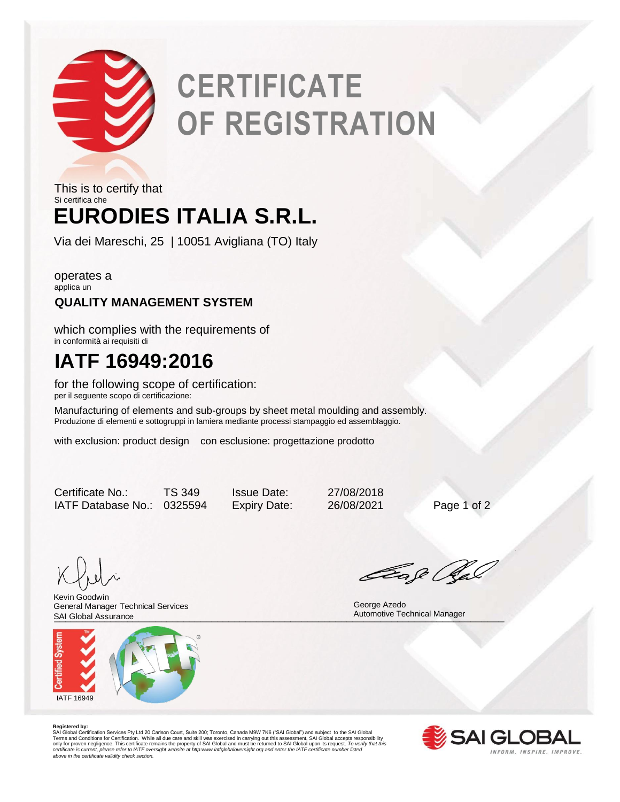

# **CERTIFICATE OF REGISTRATION**

## **EURODIES ITALIA S.R.L.** This is to certify that Si certifica che

Via dei Mareschi, 25 | 10051 Avigliana (TO) Italy

operates a applica un

## **QUALITY MANAGEMENT SYSTEM**

which complies with the requirements of in conformità ai requisiti di

## **IATF 16949:2016**

for the following scope of certification: per il seguente scopo di certificazione:

Manufacturing of elements and sub-groups by sheet metal moulding and assembly. Produzione di elementi e sottogruppi in lamiera mediante processi stampaggio ed assemblaggio.

with exclusion: product design con esclusione: progettazione prodotto

Certificate No.: TS 349 Issue Date: 27/08/2018 IATF Database No.: 0325594 Expiry Date: 26/08/2021 Page 1 of 2

SAI Global Assurance **Manager** Automotive Technical Manager<br>
Automotive Technical Manager Kevin Goodwin General Manager Technical Services SAI Global Assurance



Eage Ra

George Azedo

**Registered by:**<br>SAI Global Certification Services Pty Ltd 20 Carlson Court, Suite 200; Toronto, Canada M9W 7K6 ("SAI Global") and subject to the SAI Global<br>Terms and Conditions for Certification. While all due care and sk *certificate is current, please refer to IATF oversight website at http:www.iatfglobaloversight.org and enter the IATF certificate number listed above in the certificate validity check section.*